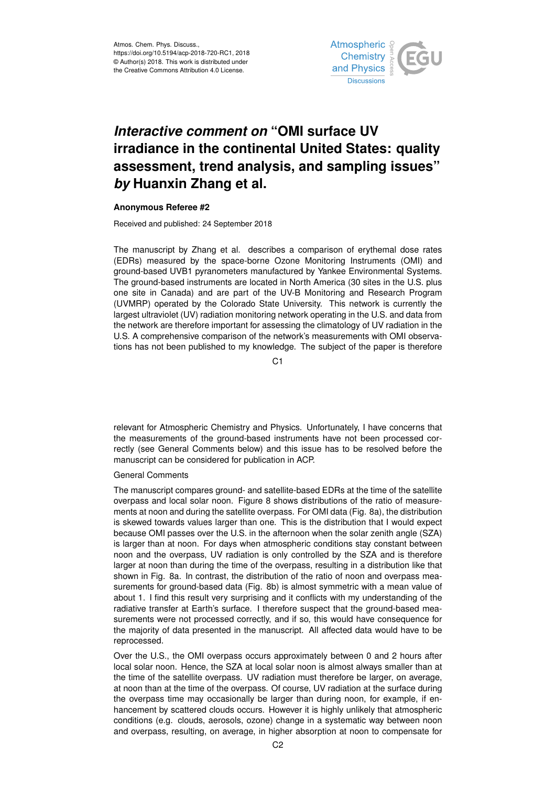

# *Interactive comment on* **"OMI surface UV irradiance in the continental United States: quality assessment, trend analysis, and sampling issues"** *by* **Huanxin Zhang et al.**

## **Anonymous Referee #2**

Received and published: 24 September 2018

The manuscript by Zhang et al. describes a comparison of erythemal dose rates (EDRs) measured by the space-borne Ozone Monitoring Instruments (OMI) and ground-based UVB1 pyranometers manufactured by Yankee Environmental Systems. The ground-based instruments are located in North America (30 sites in the U.S. plus one site in Canada) and are part of the UV-B Monitoring and Research Program (UVMRP) operated by the Colorado State University. This network is currently the largest ultraviolet (UV) radiation monitoring network operating in the U.S. and data from the network are therefore important for assessing the climatology of UV radiation in the U.S. A comprehensive comparison of the network's measurements with OMI observations has not been published to my knowledge. The subject of the paper is therefore

C<sub>1</sub>

relevant for Atmospheric Chemistry and Physics. Unfortunately, I have concerns that the measurements of the ground-based instruments have not been processed correctly (see General Comments below) and this issue has to be resolved before the manuscript can be considered for publication in ACP.

## General Comments

The manuscript compares ground- and satellite-based EDRs at the time of the satellite overpass and local solar noon. Figure 8 shows distributions of the ratio of measurements at noon and during the satellite overpass. For OMI data (Fig. 8a), the distribution is skewed towards values larger than one. This is the distribution that I would expect because OMI passes over the U.S. in the afternoon when the solar zenith angle (SZA) is larger than at noon. For days when atmospheric conditions stay constant between noon and the overpass, UV radiation is only controlled by the SZA and is therefore larger at noon than during the time of the overpass, resulting in a distribution like that shown in Fig. 8a. In contrast, the distribution of the ratio of noon and overpass measurements for ground-based data (Fig. 8b) is almost symmetric with a mean value of about 1. I find this result very surprising and it conflicts with my understanding of the radiative transfer at Earth's surface. I therefore suspect that the ground-based measurements were not processed correctly, and if so, this would have consequence for the majority of data presented in the manuscript. All affected data would have to be reprocessed.

Over the U.S., the OMI overpass occurs approximately between 0 and 2 hours after local solar noon. Hence, the SZA at local solar noon is almost always smaller than at the time of the satellite overpass. UV radiation must therefore be larger, on average, at noon than at the time of the overpass. Of course, UV radiation at the surface during the overpass time may occasionally be larger than during noon, for example, if enhancement by scattered clouds occurs. However it is highly unlikely that atmospheric conditions (e.g. clouds, aerosols, ozone) change in a systematic way between noon and overpass, resulting, on average, in higher absorption at noon to compensate for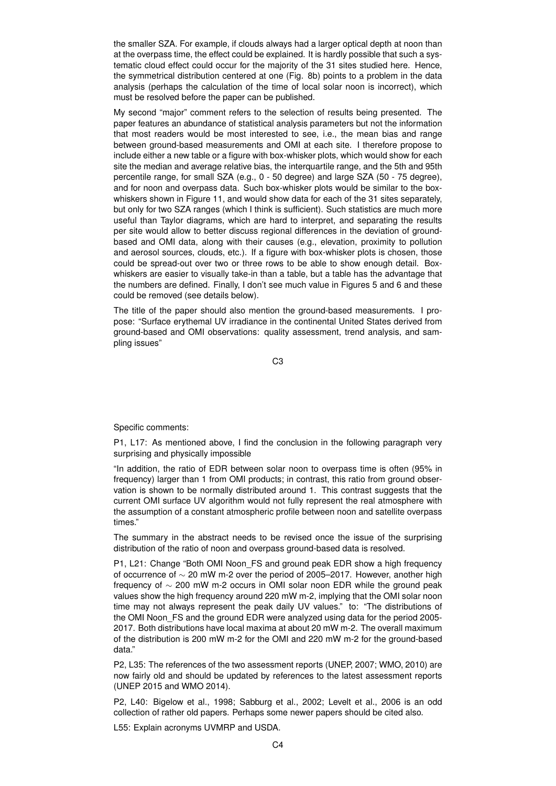the smaller SZA. For example, if clouds always had a larger optical depth at noon than at the overpass time, the effect could be explained. It is hardly possible that such a systematic cloud effect could occur for the majority of the 31 sites studied here. Hence, the symmetrical distribution centered at one (Fig. 8b) points to a problem in the data analysis (perhaps the calculation of the time of local solar noon is incorrect), which must be resolved before the paper can be published.

My second "major" comment refers to the selection of results being presented. The paper features an abundance of statistical analysis parameters but not the information that most readers would be most interested to see, i.e., the mean bias and range between ground-based measurements and OMI at each site. I therefore propose to include either a new table or a figure with box-whisker plots, which would show for each site the median and average relative bias, the interquartile range, and the 5th and 95th percentile range, for small SZA (e.g., 0 - 50 degree) and large SZA (50 - 75 degree), and for noon and overpass data. Such box-whisker plots would be similar to the boxwhiskers shown in Figure 11, and would show data for each of the 31 sites separately, but only for two SZA ranges (which I think is sufficient). Such statistics are much more useful than Taylor diagrams, which are hard to interpret, and separating the results per site would allow to better discuss regional differences in the deviation of groundbased and OMI data, along with their causes (e.g., elevation, proximity to pollution and aerosol sources, clouds, etc.). If a figure with box-whisker plots is chosen, those could be spread-out over two or three rows to be able to show enough detail. Boxwhiskers are easier to visually take-in than a table, but a table has the advantage that the numbers are defined. Finally, I don't see much value in Figures 5 and 6 and these could be removed (see details below).

The title of the paper should also mention the ground-based measurements. I propose: "Surface erythemal UV irradiance in the continental United States derived from ground-based and OMI observations: quality assessment, trend analysis, and sampling issues"

C3

Specific comments:

P1, L17: As mentioned above, I find the conclusion in the following paragraph very surprising and physically impossible

"In addition, the ratio of EDR between solar noon to overpass time is often (95% in frequency) larger than 1 from OMI products; in contrast, this ratio from ground observation is shown to be normally distributed around 1. This contrast suggests that the current OMI surface UV algorithm would not fully represent the real atmosphere with the assumption of a constant atmospheric profile between noon and satellite overpass times."

The summary in the abstract needs to be revised once the issue of the surprising distribution of the ratio of noon and overpass ground-based data is resolved.

P1, L21: Change "Both OMI Noon FS and ground peak EDR show a high frequency of occurrence of ∼ 20 mW m-2 over the period of 2005–2017. However, another high frequency of ∼ 200 mW m-2 occurs in OMI solar noon EDR while the ground peak values show the high frequency around 220 mW m-2, implying that the OMI solar noon time may not always represent the peak daily UV values." to: "The distributions of the OMI Noon\_FS and the ground EDR were analyzed using data for the period 2005- 2017. Both distributions have local maxima at about 20 mW m-2. The overall maximum of the distribution is 200 mW m-2 for the OMI and 220 mW m-2 for the ground-based data."

P2, L35: The references of the two assessment reports (UNEP, 2007; WMO, 2010) are now fairly old and should be updated by references to the latest assessment reports (UNEP 2015 and WMO 2014).

P2, L40: Bigelow et al., 1998; Sabburg et al., 2002; Levelt et al., 2006 is an odd collection of rather old papers. Perhaps some newer papers should be cited also.

L55: Explain acronyms UVMRP and USDA.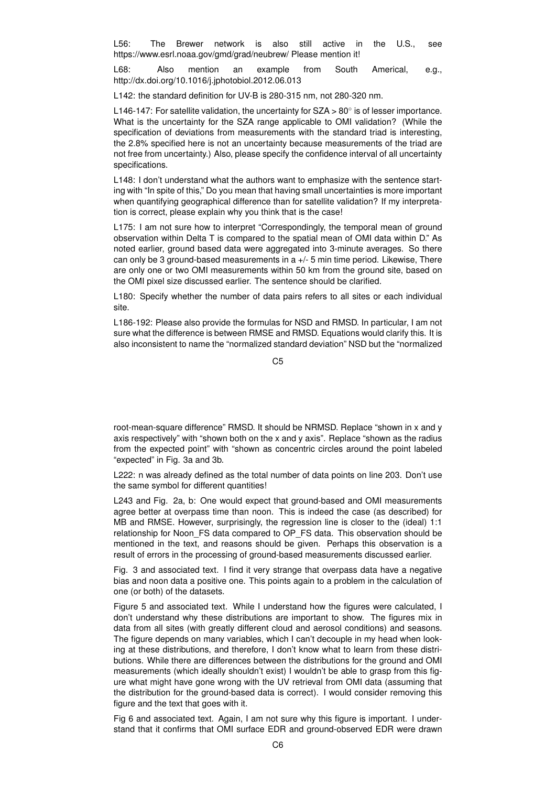L56: The Brewer network is also still active in the U.S., see https://www.esrl.noaa.gov/gmd/grad/neubrew/ Please mention it!

L68: Also mention an example from South Americal, e.g., http://dx.doi.org/10.1016/j.jphotobiol.2012.06.013

L142: the standard definition for UV-B is 280-315 nm, not 280-320 nm.

L146-147: For satellite validation, the uncertainty for SZA > 80 $^{\circ}$  is of lesser importance. What is the uncertainty for the SZA range applicable to OMI validation? (While the specification of deviations from measurements with the standard triad is interesting, the 2.8% specified here is not an uncertainty because measurements of the triad are not free from uncertainty.) Also, please specify the confidence interval of all uncertainty specifications.

L148: I don't understand what the authors want to emphasize with the sentence starting with "In spite of this," Do you mean that having small uncertainties is more important when quantifying geographical difference than for satellite validation? If my interpretation is correct, please explain why you think that is the case!

L175: I am not sure how to interpret "Correspondingly, the temporal mean of ground observation within Delta T is compared to the spatial mean of OMI data within D." As noted earlier, ground based data were aggregated into 3-minute averages. So there can only be 3 ground-based measurements in a +/- 5 min time period. Likewise, There are only one or two OMI measurements within 50 km from the ground site, based on the OMI pixel size discussed earlier. The sentence should be clarified.

L180: Specify whether the number of data pairs refers to all sites or each individual site.

L186-192: Please also provide the formulas for NSD and RMSD. In particular, I am not sure what the difference is between RMSE and RMSD. Equations would clarify this. It is also inconsistent to name the "normalized standard deviation" NSD but the "normalized

 $C<sub>5</sub>$ 

root-mean-square difference" RMSD. It should be NRMSD. Replace "shown in x and y axis respectively" with "shown both on the x and y axis". Replace "shown as the radius from the expected point" with "shown as concentric circles around the point labeled "expected" in Fig. 3a and 3b.

L222: n was already defined as the total number of data points on line 203. Don't use the same symbol for different quantities!

L243 and Fig. 2a, b: One would expect that ground-based and OMI measurements agree better at overpass time than noon. This is indeed the case (as described) for MB and RMSE. However, surprisingly, the regression line is closer to the (ideal) 1:1 relationship for Noon\_FS data compared to OP\_FS data. This observation should be mentioned in the text, and reasons should be given. Perhaps this observation is a result of errors in the processing of ground-based measurements discussed earlier.

Fig. 3 and associated text. I find it very strange that overpass data have a negative bias and noon data a positive one. This points again to a problem in the calculation of one (or both) of the datasets.

Figure 5 and associated text. While I understand how the figures were calculated, I don't understand why these distributions are important to show. The figures mix in data from all sites (with greatly different cloud and aerosol conditions) and seasons. The figure depends on many variables, which I can't decouple in my head when looking at these distributions, and therefore, I don't know what to learn from these distributions. While there are differences between the distributions for the ground and OMI measurements (which ideally shouldn't exist) I wouldn't be able to grasp from this figure what might have gone wrong with the UV retrieval from OMI data (assuming that the distribution for the ground-based data is correct). I would consider removing this figure and the text that goes with it.

Fig 6 and associated text. Again, I am not sure why this figure is important. I understand that it confirms that OMI surface EDR and ground-observed EDR were drawn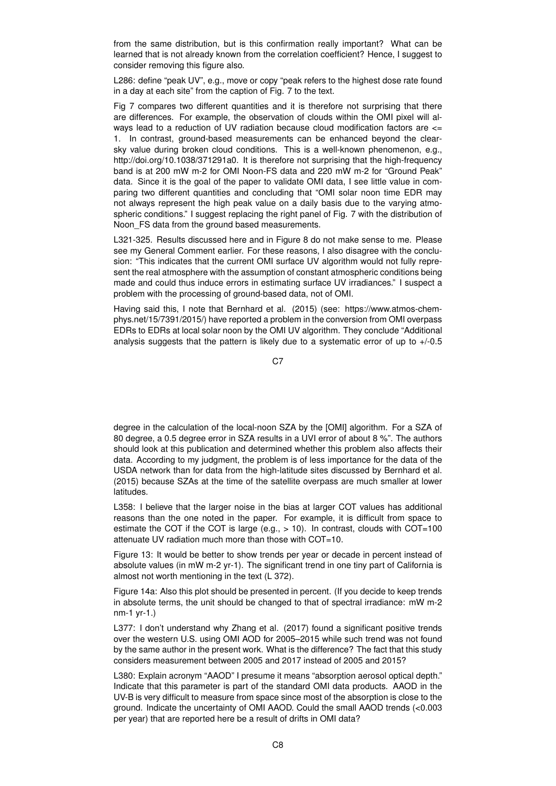from the same distribution, but is this confirmation really important? What can be learned that is not already known from the correlation coefficient? Hence, I suggest to consider removing this figure also.

L286: define "peak UV", e.g., move or copy "peak refers to the highest dose rate found in a day at each site" from the caption of Fig. 7 to the text.

Fig 7 compares two different quantities and it is therefore not surprising that there are differences. For example, the observation of clouds within the OMI pixel will always lead to a reduction of UV radiation because cloud modification factors are <= 1. In contrast, ground-based measurements can be enhanced beyond the clearsky value during broken cloud conditions. This is a well-known phenomenon, e.g., http://doi.org/10.1038/371291a0. It is therefore not surprising that the high-frequency band is at 200 mW m-2 for OMI Noon-FS data and 220 mW m-2 for "Ground Peak" data. Since it is the goal of the paper to validate OMI data, I see little value in comparing two different quantities and concluding that "OMI solar noon time EDR may not always represent the high peak value on a daily basis due to the varying atmospheric conditions." I suggest replacing the right panel of Fig. 7 with the distribution of Noon FS data from the ground based measurements.

L321-325. Results discussed here and in Figure 8 do not make sense to me. Please see my General Comment earlier. For these reasons, I also disagree with the conclusion: "This indicates that the current OMI surface UV algorithm would not fully represent the real atmosphere with the assumption of constant atmospheric conditions being made and could thus induce errors in estimating surface UV irradiances." I suspect a problem with the processing of ground-based data, not of OMI.

Having said this, I note that Bernhard et al. (2015) (see: https://www.atmos-chemphys.net/15/7391/2015/) have reported a problem in the conversion from OMI overpass EDRs to EDRs at local solar noon by the OMI UV algorithm. They conclude "Additional analysis suggests that the pattern is likely due to a systematic error of up to +/-0.5

C<sub>7</sub>

degree in the calculation of the local-noon SZA by the [OMI] algorithm. For a SZA of 80 degree, a 0.5 degree error in SZA results in a UVI error of about 8 %". The authors should look at this publication and determined whether this problem also affects their data. According to my judgment, the problem is of less importance for the data of the USDA network than for data from the high-latitude sites discussed by Bernhard et al. (2015) because SZAs at the time of the satellite overpass are much smaller at lower latitudes.

L358: I believe that the larger noise in the bias at larger COT values has additional reasons than the one noted in the paper. For example, it is difficult from space to estimate the COT if the COT is large (e.g.,  $> 10$ ). In contrast, clouds with COT=100 attenuate UV radiation much more than those with COT=10.

Figure 13: It would be better to show trends per year or decade in percent instead of absolute values (in mW m-2 yr-1). The significant trend in one tiny part of California is almost not worth mentioning in the text (L 372).

Figure 14a: Also this plot should be presented in percent. (If you decide to keep trends in absolute terms, the unit should be changed to that of spectral irradiance: mW m-2 nm-1 yr-1.)

L377: I don't understand why Zhang et al. (2017) found a significant positive trends over the western U.S. using OMI AOD for 2005–2015 while such trend was not found by the same author in the present work. What is the difference? The fact that this study considers measurement between 2005 and 2017 instead of 2005 and 2015?

L380: Explain acronym "AAOD" I presume it means "absorption aerosol optical depth." Indicate that this parameter is part of the standard OMI data products. AAOD in the UV-B is very difficult to measure from space since most of the absorption is close to the ground. Indicate the uncertainty of OMI AAOD. Could the small AAOD trends (<0.003 per year) that are reported here be a result of drifts in OMI data?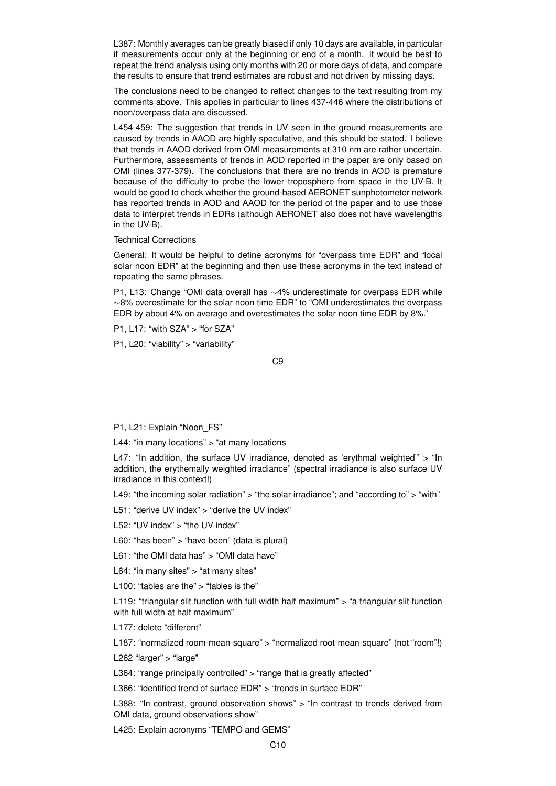L387: Monthly averages can be greatly biased if only 10 days are available, in particular if measurements occur only at the beginning or end of a month. It would be best to repeat the trend analysis using only months with 20 or more days of data, and compare the results to ensure that trend estimates are robust and not driven by missing days.

The conclusions need to be changed to reflect changes to the text resulting from my comments above. This applies in particular to lines 437-446 where the distributions of noon/overpass data are discussed.

L454-459: The suggestion that trends in UV seen in the ground measurements are caused by trends in AAOD are highly speculative, and this should be stated. I believe that trends in AAOD derived from OMI measurements at 310 nm are rather uncertain. Furthermore, assessments of trends in AOD reported in the paper are only based on OMI (lines 377-379). The conclusions that there are no trends in AOD is premature because of the difficulty to probe the lower troposphere from space in the UV-B. It would be good to check whether the ground-based AERONET sunphotometer network has reported trends in AOD and AAOD for the period of the paper and to use those data to interpret trends in EDRs (although AERONET also does not have wavelengths in the UV-B).

### Technical Corrections

General: It would be helpful to define acronyms for "overpass time EDR" and "local solar noon EDR" at the beginning and then use these acronyms in the text instead of repeating the same phrases.

P1, L13: Change "OMI data overall has ∼4% underestimate for overpass EDR while ∼8% overestimate for the solar noon time EDR" to "OMI underestimates the overpass EDR by about 4% on average and overestimates the solar noon time EDR by 8%."

P1, L17: "with SZA" > "for SZA"

P1, L20: "viability" > "variability"

C9

### P1, L21: Explain "Noon\_FS"

L44: "in many locations" > "at many locations

L47: "In addition, the surface UV irradiance, denoted as 'erythmal weighted" > "In addition, the erythemally weighted irradiance" (spectral irradiance is also surface UV irradiance in this context!)

L49: "the incoming solar radiation" > "the solar irradiance"; and "according to" > "with"

L51: "derive UV index" > "derive the UV index"

L52: "UV index" > "the UV index"

L60: "has been" > "have been" (data is plural)

L61: "the OMI data has" > "OMI data have"

L64: "in many sites" > "at many sites"

L100: "tables are the" > "tables is the"

L119: "triangular slit function with full width half maximum"  $>$  "a triangular slit function with full width at half maximum"

L177: delete "different"

L187: "normalized room-mean-square" > "normalized root-mean-square" (not "room"!)

L262 "larger" > "large"

L364: "range principally controlled" > "range that is greatly affected"

L366: "identified trend of surface EDR" > "trends in surface EDR"

L388: "In contrast, ground observation shows" > "In contrast to trends derived from OMI data, ground observations show"

L425: Explain acronyms "TEMPO and GEMS"